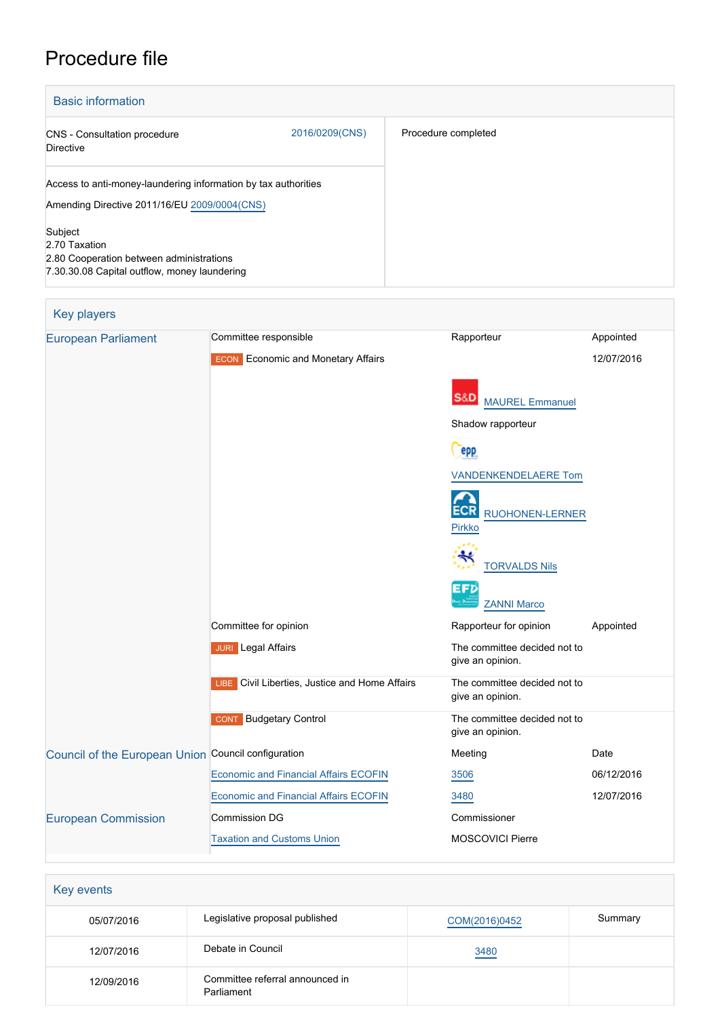# Procedure file

| <b>Basic information</b>                                                                                             |                |                     |
|----------------------------------------------------------------------------------------------------------------------|----------------|---------------------|
| <b>CNS</b> - Consultation procedure<br><b>Directive</b>                                                              | 2016/0209(CNS) | Procedure completed |
| Access to anti-money-laundering information by tax authorities<br>Amending Directive 2011/16/EU 2009/0004(CNS)       |                |                     |
| Subject<br>2.70 Taxation<br>2.80 Cooperation between administrations<br>7.30.30.08 Capital outflow, money laundering |                |                     |

| <b>Key players</b>                                  |                                                   |                                                  |            |
|-----------------------------------------------------|---------------------------------------------------|--------------------------------------------------|------------|
| <b>European Parliament</b>                          | Committee responsible                             | Rapporteur                                       | Appointed  |
|                                                     | <b>ECON</b> Economic and Monetary Affairs         |                                                  | 12/07/2016 |
|                                                     |                                                   | S&D<br><b>MAUREL Emmanuel</b>                    |            |
|                                                     |                                                   | Shadow rapporteur                                |            |
|                                                     |                                                   | epp                                              |            |
|                                                     |                                                   | <b>VANDENKENDELAERE Tom</b>                      |            |
|                                                     |                                                   | ECRI<br>RUOHONEN-LERNER<br><b>Pirkko</b>         |            |
|                                                     |                                                   | ₩<br><b>TORVALDS Nils</b>                        |            |
|                                                     |                                                   | EFD<br><b>ZANNI Marco</b>                        |            |
|                                                     | Committee for opinion                             | Rapporteur for opinion                           | Appointed  |
|                                                     | <b>JURI</b> Legal Affairs                         | The committee decided not to<br>give an opinion. |            |
|                                                     | Civil Liberties, Justice and Home Affairs<br>LIBE | The committee decided not to<br>give an opinion. |            |
|                                                     | <b>CONT</b> Budgetary Control                     | The committee decided not to<br>give an opinion. |            |
| Council of the European Union Council configuration |                                                   | Meeting                                          | Date       |
|                                                     | <b>Economic and Financial Affairs ECOFIN</b>      | 3506                                             | 06/12/2016 |
|                                                     | <b>Economic and Financial Affairs ECOFIN</b>      | 3480                                             | 12/07/2016 |
| <b>European Commission</b>                          | <b>Commission DG</b>                              | Commissioner                                     |            |
|                                                     | <b>Taxation and Customs Union</b>                 | <b>MOSCOVICI Pierre</b>                          |            |

| Key events |                                               |               |         |
|------------|-----------------------------------------------|---------------|---------|
| 05/07/2016 | Legislative proposal published                | COM(2016)0452 | Summary |
| 12/07/2016 | Debate in Council                             | 3480          |         |
| 12/09/2016 | Committee referral announced in<br>Parliament |               |         |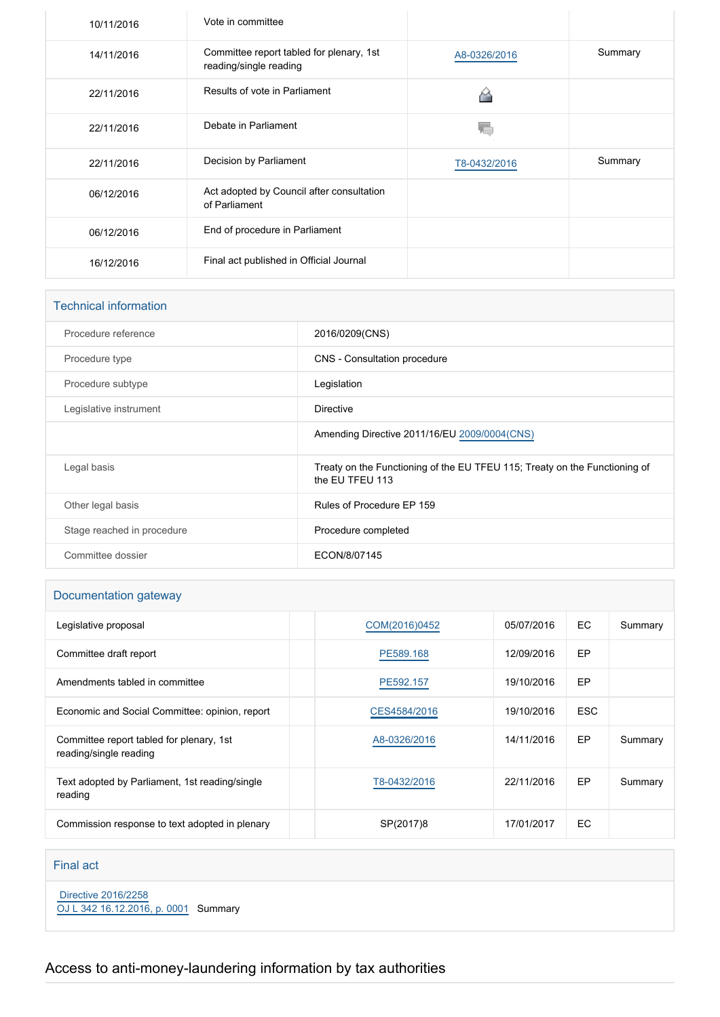| 10/11/2016 | Vote in committee                                                  |              |         |
|------------|--------------------------------------------------------------------|--------------|---------|
| 14/11/2016 | Committee report tabled for plenary, 1st<br>reading/single reading | A8-0326/2016 | Summary |
| 22/11/2016 | Results of vote in Parliament                                      |              |         |
| 22/11/2016 | Debate in Parliament                                               |              |         |
| 22/11/2016 | Decision by Parliament                                             | T8-0432/2016 | Summary |
| 06/12/2016 | Act adopted by Council after consultation<br>of Parliament         |              |         |
| 06/12/2016 | End of procedure in Parliament                                     |              |         |
| 16/12/2016 | Final act published in Official Journal                            |              |         |

| <b>Technical information</b> |                                                                                               |
|------------------------------|-----------------------------------------------------------------------------------------------|
| Procedure reference          | 2016/0209(CNS)                                                                                |
| Procedure type               | CNS - Consultation procedure                                                                  |
| Procedure subtype            | Legislation                                                                                   |
| Legislative instrument       | <b>Directive</b>                                                                              |
|                              | Amending Directive 2011/16/EU 2009/0004(CNS)                                                  |
| Legal basis                  | Treaty on the Functioning of the EU TFEU 115; Treaty on the Functioning of<br>the EU TFEU 113 |
| Other legal basis            | Rules of Procedure EP 159                                                                     |
| Stage reached in procedure   | Procedure completed                                                                           |
| Committee dossier            | ECON/8/07145                                                                                  |

## Documentation gateway

| Legislative proposal                                               | COM(2016)0452 | 05/07/2016 | EC.        | Summary |
|--------------------------------------------------------------------|---------------|------------|------------|---------|
| Committee draft report                                             | PE589.168     | 12/09/2016 | EP         |         |
| Amendments tabled in committee                                     | PE592.157     | 19/10/2016 | EP         |         |
| Economic and Social Committee: opinion, report                     | CES4584/2016  | 19/10/2016 | <b>ESC</b> |         |
| Committee report tabled for plenary, 1st<br>reading/single reading | A8-0326/2016  | 14/11/2016 | EP.        | Summary |
| Text adopted by Parliament, 1st reading/single<br>reading          | T8-0432/2016  | 22/11/2016 | EP         | Summary |
| Commission response to text adopted in plenary                     | SP(2017)8     | 17/01/2017 | EC.        |         |

## Final act

 [Directive 2016/2258](https://eur-lex.europa.eu/smartapi/cgi/sga_doc?smartapi!celexplus!prod!CELEXnumdoc&lg=EN&numdoc=32016L2258) [OJ L 342 16.12.2016, p. 0001](https://eur-lex.europa.eu/legal-content/EN/TXT/?uri=OJ:L:2016:342:TOC) Summary

## Access to anti-money-laundering information by tax authorities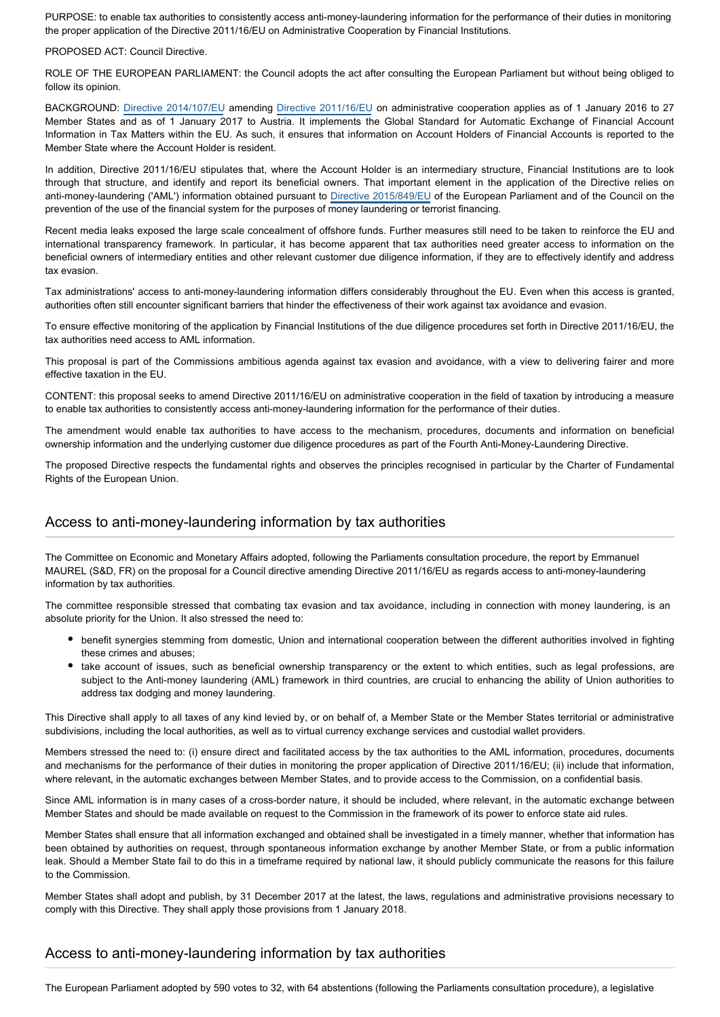PURPOSE: to enable tax authorities to consistently access anti-money-laundering information for the performance of their duties in monitoring the proper application of the Directive 2011/16/EU on Administrative Cooperation by Financial Institutions.

#### PROPOSED ACT: Council Directive.

ROLE OF THE EUROPEAN PARLIAMENT: the Council adopts the act after consulting the European Parliament but without being obliged to follow its opinion.

BACKGROUND: [Directive 2014/107/EU](http://www.europarl.europa.eu/oeil/popups/ficheprocedure.do?reference=2013/0188(CNS)&l=en) amending [Directive 2011/16/EU](http://www.europarl.europa.eu/oeil/popups/ficheprocedure.do?lang=en&reference=2009/0004(CNS)) on administrative cooperation applies as of 1 January 2016 to 27 Member States and as of 1 January 2017 to Austria. It implements the Global Standard for Automatic Exchange of Financial Account Information in Tax Matters within the EU. As such, it ensures that information on Account Holders of Financial Accounts is reported to the Member State where the Account Holder is resident.

In addition, Directive 2011/16/EU stipulates that, where the Account Holder is an intermediary structure, Financial Institutions are to look through that structure, and identify and report its beneficial owners. That important element in the application of the Directive relies on anti-money-laundering ('AML') information obtained pursuant to [Directive 2015/849/EU](http://www.europarl.europa.eu/oeil/popups/ficheprocedure.do?reference=2013/0025(COD)&l=en) of the European Parliament and of the Council on the prevention of the use of the financial system for the purposes of money laundering or terrorist financing.

Recent media leaks exposed the large scale concealment of offshore funds. Further measures still need to be taken to reinforce the EU and international transparency framework. In particular, it has become apparent that tax authorities need greater access to information on the beneficial owners of intermediary entities and other relevant customer due diligence information, if they are to effectively identify and address tax evasion.

Tax administrations' access to anti-money-laundering information differs considerably throughout the EU. Even when this access is granted, authorities often still encounter significant barriers that hinder the effectiveness of their work against tax avoidance and evasion.

To ensure effective monitoring of the application by Financial Institutions of the due diligence procedures set forth in Directive 2011/16/EU, the tax authorities need access to AML information.

This proposal is part of the Commissions ambitious agenda against tax evasion and avoidance, with a view to delivering fairer and more effective taxation in the EU.

CONTENT: this proposal seeks to amend Directive 2011/16/EU on administrative cooperation in the field of taxation by introducing a measure to enable tax authorities to consistently access anti-money-laundering information for the performance of their duties.

The amendment would enable tax authorities to have access to the mechanism, procedures, documents and information on beneficial ownership information and the underlying customer due diligence procedures as part of the Fourth Anti-Money-Laundering Directive.

The proposed Directive respects the fundamental rights and observes the principles recognised in particular by the Charter of Fundamental Rights of the European Union.

## Access to anti-money-laundering information by tax authorities

The Committee on Economic and Monetary Affairs adopted, following the Parliaments consultation procedure, the report by Emmanuel MAUREL (S&D, FR) on the proposal for a Council directive amending Directive 2011/16/EU as regards access to anti-money-laundering information by tax authorities.

The committee responsible stressed that combating tax evasion and tax avoidance, including in connection with money laundering, is an absolute priority for the Union. It also stressed the need to:

- benefit synergies stemming from domestic, Union and international cooperation between the different authorities involved in fighting these crimes and abuses;
- take account of issues, such as beneficial ownership transparency or the extent to which entities, such as legal professions, are subject to the Anti-money laundering (AML) framework in third countries, are crucial to enhancing the ability of Union authorities to address tax dodging and money laundering.

This Directive shall apply to all taxes of any kind levied by, or on behalf of, a Member State or the Member States territorial or administrative subdivisions, including the local authorities, as well as to virtual currency exchange services and custodial wallet providers.

Members stressed the need to: (i) ensure direct and facilitated access by the tax authorities to the AML information, procedures, documents and mechanisms for the performance of their duties in monitoring the proper application of Directive 2011/16/EU; (ii) include that information, where relevant, in the automatic exchanges between Member States, and to provide access to the Commission, on a confidential basis.

Since AML information is in many cases of a cross-border nature, it should be included, where relevant, in the automatic exchange between Member States and should be made available on request to the Commission in the framework of its power to enforce state aid rules.

Member States shall ensure that all information exchanged and obtained shall be investigated in a timely manner, whether that information has been obtained by authorities on request, through spontaneous information exchange by another Member State, or from a public information leak. Should a Member State fail to do this in a timeframe required by national law, it should publicly communicate the reasons for this failure to the Commission.

Member States shall adopt and publish, by 31 December 2017 at the latest, the laws, regulations and administrative provisions necessary to comply with this Directive. They shall apply those provisions from 1 January 2018.

### Access to anti-money-laundering information by tax authorities

The European Parliament adopted by 590 votes to 32, with 64 abstentions (following the Parliaments consultation procedure), a legislative